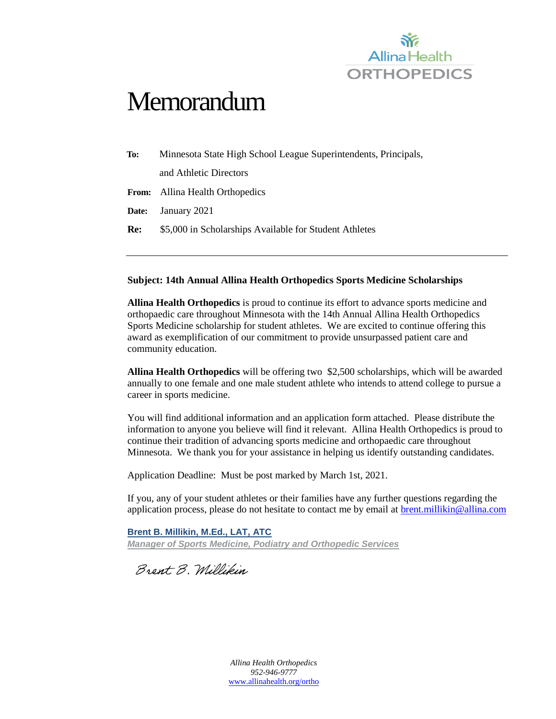

# **Memorandum**

| To:   | Minnesota State High School League Superintendents, Principals, |
|-------|-----------------------------------------------------------------|
|       | and Athletic Directors                                          |
| From: | Allina Health Orthopedics                                       |
| Date: | January 2021                                                    |
| Re:   | \$5,000 in Scholarships Available for Student Athletes          |
|       |                                                                 |

#### **Subject: 14th Annual Allina Health Orthopedics Sports Medicine Scholarships**

**Allina Health Orthopedics** is proud to continue its effort to advance sports medicine and orthopaedic care throughout Minnesota with the 14th Annual Allina Health Orthopedics Sports Medicine scholarship for student athletes. We are excited to continue offering this award as exemplification of our commitment to provide unsurpassed patient care and community education.

**Allina Health Orthopedics** will be offering two \$2,500 scholarships, which will be awarded annually to one female and one male student athlete who intends to attend college to pursue a career in sports medicine.

You will find additional information and an application form attached. Please distribute the information to anyone you believe will find it relevant. Allina Health Orthopedics is proud to continue their tradition of advancing sports medicine and orthopaedic care throughout Minnesota. We thank you for your assistance in helping us identify outstanding candidates.

Application Deadline: Must be post marked by March 1st, 2021.

If you, any of your student athletes or their families have any further questions regarding the application process, please do not hesitate to contact me by email at **brent.millikin@allina.com** 

**Brent B. Millikin, M.Ed., LAT, ATC** *Manager of Sports Medicine, Podiatry and Orthopedic Services* 

Brent B. Millikin

*Allina Health Orthopedics 952-946-9777* [www.allinahealth.org/ortho](http://www.allinahealth.org/ortho)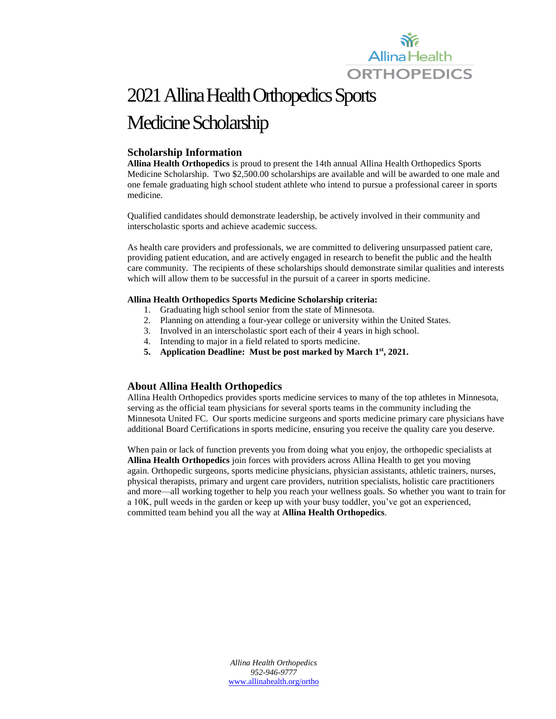

## 2021Allina Health Orthopedics Sports Medicine Scholarship

#### **Scholarship Information**

**Allina Health Orthopedics** is proud to present the 14th annual Allina Health Orthopedics Sports Medicine Scholarship. Two \$2,500.00 scholarships are available and will be awarded to one male and one female graduating high school student athlete who intend to pursue a professional career in sports medicine.

Qualified candidates should demonstrate leadership, be actively involved in their community and interscholastic sports and achieve academic success.

As health care providers and professionals, we are committed to delivering unsurpassed patient care, providing patient education, and are actively engaged in research to benefit the public and the health care community. The recipients of these scholarships should demonstrate similar qualities and interests which will allow them to be successful in the pursuit of a career in sports medicine.

#### **Allina Health Orthopedics Sports Medicine Scholarship criteria:**

- 1. Graduating high school senior from the state of Minnesota.
- 2. Planning on attending a four-year college or university within the United States.
- 3. Involved in an interscholastic sport each of their 4 years in high school.
- 4. Intending to major in a field related to sports medicine.
- **5. Application Deadline: Must be post marked by March 1st, 2021.**

#### **About Allina Health Orthopedics**

Allina Health Orthopedics provides sports medicine services to many of the top athletes in Minnesota, serving as the official team physicians for several sports teams in the community including the Minnesota United FC. Our sports medicine surgeons and sports medicine primary care physicians have additional Board Certifications in sports medicine, ensuring you receive the quality care you deserve.

When pain or lack of function prevents you from doing what you enjoy, the orthopedic specialists at **Allina Health Orthopedics** join forces with providers across Allina Health to get you moving again. Orthopedic surgeons, sports medicine physicians, physician assistants, athletic trainers, nurses, physical therapists, primary and urgent care providers, nutrition specialists, holistic care practitioners and more—all working together to help you reach your wellness goals. So whether you want to train for a 10K, pull weeds in the garden or keep up with your busy toddler, you've got an experienced, committed team behind you all the way at **Allina Health Orthopedics**.